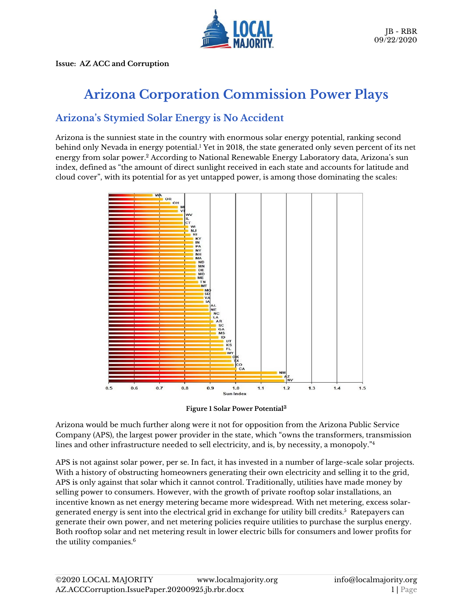

**Issue: AZ ACC and Corruption**

# **Arizona Corporation Commission Power Plays**

# **Arizona's Stymied Solar Energy is No Accident**

Arizona is the sunniest state in the country with enormous solar energy potential, ranking second behind only Nevada in energy potential. <sup>1</sup> Yet in 2018, the state generated only seven percent of its net energy from solar power. <sup>2</sup> According to National Renewable Energy Laboratory data, Arizona's sun index, defined as "the amount of direct sunlight received in each state and accounts for latitude and cloud cover", with its potential for as yet untapped power, is among those dominating the scales:



**Figure 1 Solar Power Potential<sup>3</sup>**

Arizona would be much further along were it not for opposition from the Arizona Public Service Company (APS), the largest power provider in the state, which "owns the transformers, transmission lines and other infrastructure needed to sell electricity, and is, by necessity, a monopoly." 4

APS is not against solar power, per se. In fact, it has invested in a number of large-scale solar projects. With a history of obstructing homeowners generating their own electricity and selling it to the grid, APS is only against that solar which it cannot control. Traditionally, utilities have made money by selling power to consumers. However, with the growth of private rooftop solar installations, an incentive known as net energy metering became more widespread. With net metering, excess solargenerated energy is sent into the electrical grid in exchange for utility bill credits. $^5\,$  Ratepayers can generate their own power, and net metering policies require utilities to purchase the surplus energy. Both rooftop solar and net metering result in lower electric bills for consumers and lower profits for the utility companies. 6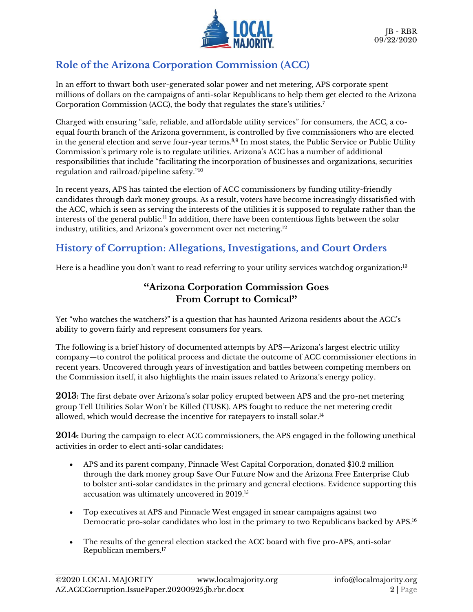

# **Role of the Arizona Corporation Commission (ACC)**

In an effort to thwart both user-generated solar power and net metering, APS corporate spent millions of dollars on the campaigns of anti-solar Republicans to help them get elected to the Arizona Corporation Commission (ACC), the body that regulates the state's utilities.<sup>7</sup>

Charged with ensuring "safe, reliable, and affordable utility services" for consumers, the ACC, a coequal fourth branch of the Arizona government, is controlled by five commissioners who are elected in the general election and serve four-year terms.<sup>8,9</sup> In most states, the Public Service or Public Utility Commission's primary role is to regulate utilities. Arizona's ACC has a number of additional responsibilities that include "facilitating the incorporation of businesses and organizations, securities regulation and railroad/pipeline safety."<sup>10</sup>

In recent years, APS has tainted the election of ACC commissioners by funding utility-friendly candidates through dark money groups. As a result, voters have become increasingly dissatisfied with the ACC, which is seen as serving the interests of the utilities it is supposed to regulate rather than the interests of the general public.<sup>11</sup> In addition, there have been contentious fights between the solar industry, utilities, and Arizona's government over net metering. 12

# **History of Corruption: Allegations, Investigations, and Court Orders**

Here is a headline you don't want to read referring to your utility services watchdog organization:<sup>13</sup>

### **"Arizona Corporation Commission Goes From Corrupt to Comical"**

Yet "who watches the watchers?" is a question that has haunted Arizona residents about the ACC's ability to govern fairly and represent consumers for years.

The following is a brief history of documented attempts by APS—Arizona's largest electric utility company—to control the political process and dictate the outcome of ACC commissioner elections in recent years. Uncovered through years of investigation and battles between competing members on the Commission itself, it also highlights the main issues related to Arizona's energy policy.

**2013:** The first debate over Arizona's solar policy erupted between APS and the pro-net metering group Tell Utilities Solar Won't be Killed (TUSK). APS fought to reduce the net metering credit allowed, which would decrease the incentive for ratepayers to install solar. 14

**2014:** During the campaign to elect ACC commissioners, the APS engaged in the following unethical activities in order to elect anti-solar candidates:

- APS and its parent company, Pinnacle West Capital Corporation, donated \$10.2 million through the dark money group Save Our Future Now and the Arizona Free Enterprise Club to bolster anti-solar candidates in the primary and general elections. Evidence supporting this accusation was ultimately uncovered in 2019.<sup>15</sup>
- Top executives at APS and Pinnacle West engaged in smear campaigns against two Democratic pro-solar candidates who lost in the primary to two Republicans backed by APS. 16
- The results of the general election stacked the ACC board with five pro-APS, anti-solar Republican members. 17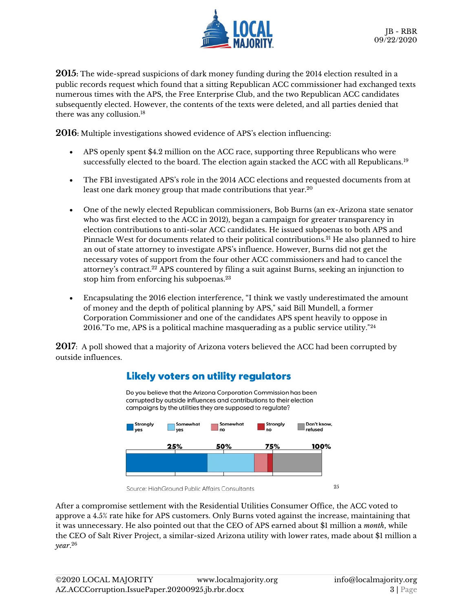

**2015:** The wide-spread suspicions of dark money funding during the 2014 election resulted in a public records request which found that a sitting Republican ACC commissioner had exchanged texts numerous times with the APS, the Free Enterprise Club, and the two Republican ACC candidates subsequently elected. However, the contents of the texts were deleted, and all parties denied that there was any collusion.<sup>18</sup>

**2016:** Multiple investigations showed evidence of APS's election influencing:

- APS openly spent \$4.2 million on the ACC race, supporting three Republicans who were successfully elected to the board. The election again stacked the ACC with all Republicans.<sup>19</sup>
- The FBI investigated APS's role in the 2014 ACC elections and requested documents from at least one dark money group that made contributions that year.<sup>20</sup>
- One of the newly elected Republican commissioners, Bob Burns (an ex-Arizona state senator who was first elected to the ACC in 2012), began a campaign for greater transparency in election contributions to anti-solar ACC candidates. He issued subpoenas to both APS and Pinnacle West for documents related to their political contributions.<sup>21</sup> He also planned to hire an out of state attorney to investigate APS's influence. However, Burns did not get the necessary votes of support from the four other ACC commissioners and had to cancel the attorney's contract. <sup>22</sup> APS countered by filing a suit against Burns, seeking an injunction to stop him from enforcing his subpoenas.<sup>23</sup>
- Encapsulating the 2016 election interference, "I think we vastly underestimated the amount of money and the depth of political planning by APS," said Bill Mundell, a former Corporation Commissioner and one of the candidates APS spent heavily to oppose in 2016."To me, APS is a political machine masquerading as a public service utility."<sup>24</sup>

**2017**: A poll showed that a majority of Arizona voters believed the ACC had been corrupted by outside influences.



#### **Likely voters on utility regulators**

After a compromise settlement with the Residential Utilities Consumer Office, the ACC voted to approve a 4.5% rate hike for APS customers. Only Burns voted against the increase, maintaining that it was unnecessary. He also pointed out that the CEO of APS earned about \$1 million a *month*, while the CEO of Salt River Project, a similar-sized Arizona utility with lower rates, made about \$1 million a *year*. 26

Source: HighGround Public Affairs Consultants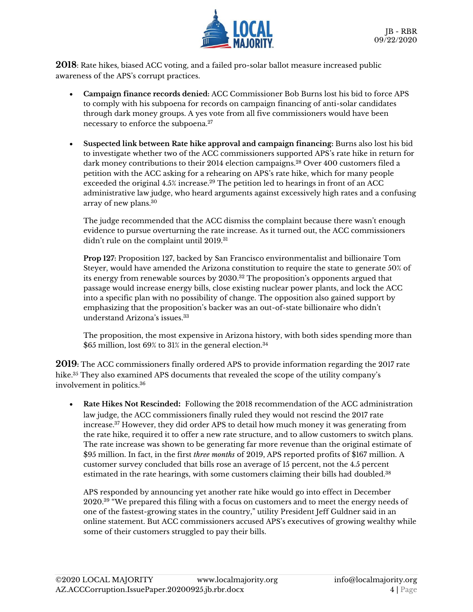

**2018**: Rate hikes, biased ACC voting, and a failed pro-solar ballot measure increased public awareness of the APS's corrupt practices.

- **Campaign finance records denied:** ACC Commissioner Bob Burns lost his bid to force APS to comply with his subpoena for records on campaign financing of anti-solar candidates through dark money groups. A yes vote from all five commissioners would have been necessary to enforce the subpoena.<sup>27</sup>
- **Suspected link between Rate hike approval and campaign financing:** Burns also lost his bid to investigate whether two of the ACC commissioners supported APS's rate hike in return for dark money contributions to their 2014 election campaigns.<sup>28</sup> Over 400 customers filed a petition with the ACC asking for a rehearing on APS's rate hike, which for many people exceeded the original 4.5% increase.<sup>29</sup> The petition led to hearings in front of an ACC administrative law judge, who heard arguments against excessively high rates and a confusing array of new plans.<sup>30</sup>

The judge recommended that the ACC dismiss the complaint because there wasn't enough evidence to pursue overturning the rate increase. As it turned out, the ACC commissioners didn't rule on the complaint until 2019.<sup>31</sup>

**Prop 127:** Proposition 127, backed by San Francisco environmentalist and billionaire Tom Steyer, would have amended the Arizona constitution to require the state to generate 50% of its energy from renewable sources by  $2030.^{32}$  The proposition's opponents argued that passage would increase energy bills, close existing nuclear power plants, and lock the ACC into a specific plan with no possibility of change. The opposition also gained support by emphasizing that the proposition's backer was an out-of-state billionaire who didn't understand Arizona's issues.<sup>33</sup>

The proposition, the most expensive in Arizona history, with both sides spending more than \$65 million, lost 69% to 31% in the general election.<sup>34</sup>

**2019:** The ACC commissioners finally ordered APS to provide information regarding the 2017 rate hike.<sup>35</sup> They also examined APS documents that revealed the scope of the utility company's involvement in politics. 36

• **Rate Hikes Not Rescinded:** Following the 2018 recommendation of the ACC administration law judge, the ACC commissioners finally ruled they would not rescind the 2017 rate increase. <sup>37</sup> However, they did order APS to detail how much money it was generating from the rate hike, required it to offer a new rate structure, and to allow customers to switch plans. The rate increase was shown to be generating far more revenue than the original estimate of \$95 million. In fact, in the first *three months* of 2019, APS reported profits of \$167 million. A customer survey concluded that bills rose an average of 15 percent, not the 4.5 percent estimated in the rate hearings, with some customers claiming their bills had doubled. 38

APS responded by announcing yet another rate hike would go into effect in December 2020. $^{39}$  "We prepared this filing with a focus on customers and to meet the energy needs of one of the fastest-growing states in the country," utility President Jeff Guldner said in an online statement. But ACC commissioners accused APS's executives of growing wealthy while some of their customers struggled to pay their bills.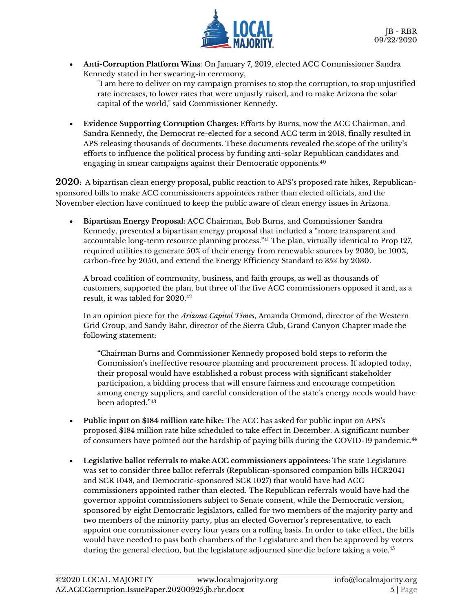

• **Anti-Corruption Platform Wins**: On January 7, 2019, elected ACC Commissioner Sandra Kennedy stated in her swearing-in ceremony,

"I am here to deliver on my campaign promises to stop the corruption, to stop unjustified rate increases, to lower rates that were unjustly raised, and to make Arizona the solar capital of the world," said Commissioner Kennedy.

• **Evidence Supporting Corruption Charges:** Efforts by Burns, now the ACC Chairman, and Sandra Kennedy, the Democrat re-elected for a second ACC term in 2018, finally resulted in APS releasing thousands of documents. These documents revealed the scope of the utility's efforts to influence the political process by funding anti-solar Republican candidates and engaging in smear campaigns against their Democratic opponents.<sup>40</sup>

**2020:** A bipartisan clean energy proposal, public reaction to APS's proposed rate hikes, Republicansponsored bills to make ACC commissioners appointees rather than elected officials, and the November election have continued to keep the public aware of clean energy issues in Arizona.

• **Bipartisan Energy Proposal:** ACC Chairman, Bob Burns, and Commissioner Sandra Kennedy, presented a bipartisan energy proposal that included a "more transparent and accountable long-term resource planning process."<sup>41</sup> The plan, virtually identical to Prop 127, required utilities to generate 50% of their energy from renewable sources by 2030, be 100%, carbon-free by 2050, and extend the Energy Efficiency Standard to 35% by 2030.

A broad coalition of community, business, and faith groups, as well as thousands of customers, supported the plan, but three of the five ACC commissioners opposed it and, as a result, it was tabled for 2020. 42

In an opinion piece for the *Arizona Capitol Times*, Amanda Ormond, director of the Western Grid Group, and Sandy Bahr, director of the Sierra Club, Grand Canyon Chapter made the following statement:

"Chairman Burns and Commissioner Kennedy proposed bold steps to reform the Commission's ineffective resource planning and procurement process. If adopted today, their proposal would have established a robust process with significant stakeholder participation, a bidding process that will ensure fairness and encourage competition among energy suppliers, and careful consideration of the state's energy needs would have been adopted."<sup>43</sup>

- **Public input on \$184 million rate hike:** The ACC has asked for public input on APS's proposed \$184 million rate hike scheduled to take effect in December. A significant number of consumers have pointed out the hardship of paying bills during the COVID-19 pandemic.<sup>44</sup>
- **Legislative ballot referrals to make ACC commissioners appointees:** The state Legislature was set to consider three ballot referrals (Republican-sponsored companion bills HCR2041 and SCR 1048, and Democratic-sponsored SCR 1027) that would have had ACC commissioners appointed rather than elected. The Republican referrals would have had the governor appoint commissioners subject to Senate consent, while the Democratic version, sponsored by eight Democratic legislators, called for two members of the majority party and two members of the minority party, plus an elected Governor's representative, to each appoint one commissioner every four years on a rolling basis. In order to take effect, the bills would have needed to pass both chambers of the Legislature and then be approved by voters during the general election, but the legislature adjourned sine die before taking a vote.<sup>45</sup>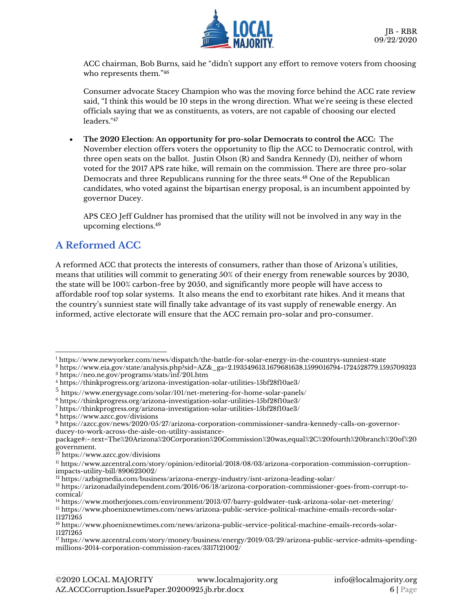

ACC chairman, Bob Burns, said he "didn't support any effort to remove voters from choosing who represents them." 46

Consumer advocate Stacey Champion who was the moving force behind the ACC rate review said, "I think this would be 10 steps in the wrong direction. What we're seeing is these elected officials saying that we as constituents, as voters, are not capable of choosing our elected leaders."<sup>47</sup>

• **The 2020 Election: An opportunity for pro-solar Democrats to control the ACC:** The November election offers voters the opportunity to flip the ACC to Democratic control, with three open seats on the ballot. Justin Olson (R) and Sandra Kennedy (D), neither of whom voted for the 2017 APS rate hike, will remain on the commission. There are three pro-solar Democrats and three Republicans running for the three seats.<sup>48</sup> One of the Republican candidates, who voted against the bipartisan energy proposal, is an incumbent appointed by governor Ducey.

APS CEO Jeff Guldner has promised that the utility will not be involved in any way in the upcoming elections.<sup>49</sup>

### **A Reformed ACC**

A reformed ACC that protects the interests of consumers, rather than those of Arizona's utilities, means that utilities will commit to generating 50% of their energy from renewable sources by 2030, the state will be 100% carbon-free by 2050, and significantly more people will have access to affordable roof top solar systems. It also means the end to exorbitant rate hikes. And it means that the country's sunniest state will finally take advantage of its vast supply of renewable energy. An informed, active electorate will ensure that the ACC remain pro-solar and pro-consumer.

<sup>1</sup> <https://www.newyorker.com/news/dispatch/the-battle-for-solar-energy-in-the-countrys-sunniest-state>

<sup>2</sup> [https://www.eia.gov/state/analysis.php?sid=AZ&\\_ga=2.193549613.1679681638.1599016794-1724528779.1595709323](https://www.eia.gov/state/analysis.php?sid=AZ&_ga=2.193549613.1679681638.1599016794-1724528779.1595709323) <sup>3</sup> https://neo.ne.gov/programs/stats/inf/201.htm

<sup>4</sup> <https://thinkprogress.org/arizona-investigation-solar-utilities-15bf28f10ae3/>

<sup>5</sup> https://www.energysage.com/solar/101/net-metering-for-home-solar-panels/

<sup>6</sup> <https://thinkprogress.org/arizona-investigation-solar-utilities-15bf28f10ae3/>

<sup>7</sup> <https://thinkprogress.org/arizona-investigation-solar-utilities-15bf28f10ae3/>

<sup>8</sup> <https://www.azcc.gov/divisions>

<sup>9</sup> [https://azcc.gov/news/2020/05/27/arizona-corporation-commissioner-sandra-kennedy-calls-on-governor](https://azcc.gov/news/2020/05/27/arizona-corporation-commissioner-sandra-kennedy-calls-on-governor-ducey-to-work-across-the-aisle-on-utility-assistance-package#:~:text=The%20Arizona%20Corporation%20Commission%20was,equal%2C%20fourth%20branch%20of%20government.)[ducey-to-work-across-the-aisle-on-utility-assistance-](https://azcc.gov/news/2020/05/27/arizona-corporation-commissioner-sandra-kennedy-calls-on-governor-ducey-to-work-across-the-aisle-on-utility-assistance-package#:~:text=The%20Arizona%20Corporation%20Commission%20was,equal%2C%20fourth%20branch%20of%20government.)

[package#:~:text=The%20Arizona%20Corporation%20Commission%20was,equal%2C%20fourth%20branch%20of%20](https://azcc.gov/news/2020/05/27/arizona-corporation-commissioner-sandra-kennedy-calls-on-governor-ducey-to-work-across-the-aisle-on-utility-assistance-package#:~:text=The%20Arizona%20Corporation%20Commission%20was,equal%2C%20fourth%20branch%20of%20government.) [government.](https://azcc.gov/news/2020/05/27/arizona-corporation-commissioner-sandra-kennedy-calls-on-governor-ducey-to-work-across-the-aisle-on-utility-assistance-package#:~:text=The%20Arizona%20Corporation%20Commission%20was,equal%2C%20fourth%20branch%20of%20government.)

<sup>&</sup>lt;sup>10</sup> <https://www.azcc.gov/divisions>

<sup>11</sup> [https://www.azcentral.com/story/opinion/editorial/2018/08/03/arizona-corporation-commission-corruption](https://www.azcentral.com/story/opinion/editorial/2018/08/03/arizona-corporation-commission-corruption-impacts-utility-bill/890623002/)[impacts-utility-bill/890623002/](https://www.azcentral.com/story/opinion/editorial/2018/08/03/arizona-corporation-commission-corruption-impacts-utility-bill/890623002/)

<sup>&</sup>lt;sup>12</sup> <https://azbigmedia.com/business/arizona-energy-industry/isnt-arizona-leading-solar/>

<sup>13</sup> https://arizonadailyindependent.com/2016/06/18/arizona-corporation-commissioner-goes-from-corrupt-tocomical/

<sup>14</sup> <https://www.motherjones.com/environment/2013/07/barry-goldwater-tusk-arizona-solar-net-metering/>

<sup>15</sup> [https://www.phoenixnewtimes.com/news/arizona-public-service-political-machine-emails-records-solar-](https://www.phoenixnewtimes.com/news/arizona-public-service-political-machine-emails-records-solar-11271265)[11271265](https://www.phoenixnewtimes.com/news/arizona-public-service-political-machine-emails-records-solar-11271265)

<sup>16</sup> [https://www.phoenixnewtimes.com/news/arizona-public-service-political-machine-emails-records-solar-](https://www.phoenixnewtimes.com/news/arizona-public-service-political-machine-emails-records-solar-11271265)[11271265](https://www.phoenixnewtimes.com/news/arizona-public-service-political-machine-emails-records-solar-11271265)

<sup>17</sup> [https://www.azcentral.com/story/money/business/energy/2019/03/29/arizona-public-service-admits-spending](https://www.azcentral.com/story/money/business/energy/2019/03/29/arizona-public-service-admits-spending-millions-2014-corporation-commission-races/3317121002/)[millions-2014-corporation-commission-races/3317121002/](https://www.azcentral.com/story/money/business/energy/2019/03/29/arizona-public-service-admits-spending-millions-2014-corporation-commission-races/3317121002/)